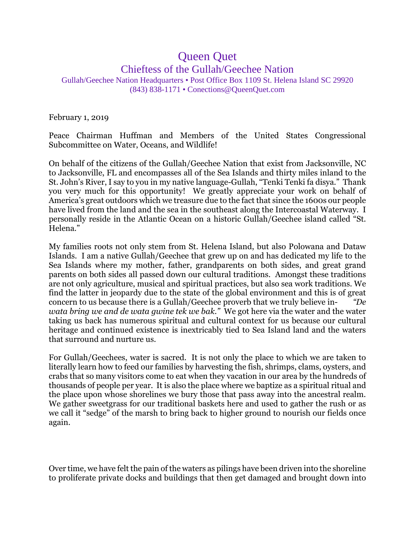## Queen Quet Chieftess of the Gullah/Geechee Nation Gullah/Geechee Nation Headquarters • Post Office Box 1109 St. Helena Island SC 29920 (843) 838-1171 • Conections@QueenQuet.com

February 1, 2019

Peace Chairman Huffman and Members of the United States Congressional Subcommittee on Water, Oceans, and Wildlife!

On behalf of the citizens of the Gullah/Geechee Nation that exist from Jacksonville, NC to Jacksonville, FL and encompasses all of the Sea Islands and thirty miles inland to the St. John's River, I say to you in my native language-Gullah, "Tenki Tenki fa disya." Thank you very much for this opportunity! We greatly appreciate your work on behalf of America's great outdoors which we treasure due to the fact that since the 1600s our people have lived from the land and the sea in the southeast along the Intercoastal Waterway. I personally reside in the Atlantic Ocean on a historic Gullah/Geechee island called "St. Helena."

My families roots not only stem from St. Helena Island, but also Polowana and Dataw Islands. I am a native Gullah/Geechee that grew up on and has dedicated my life to the Sea Islands where my mother, father, grandparents on both sides, and great grand parents on both sides all passed down our cultural traditions. Amongst these traditions are not only agriculture, musical and spiritual practices, but also sea work traditions. We find the latter in jeopardy due to the state of the global environment and this is of great concern to us because there is a Gullah/Geechee proverb that we truly believe in- *"De wata bring we and de wata gwine tek we bak."* We got here via the water and the water taking us back has numerous spiritual and cultural context for us because our cultural heritage and continued existence is inextricably tied to Sea Island land and the waters that surround and nurture us.

For Gullah/Geechees, water is sacred. It is not only the place to which we are taken to literally learn how to feed our families by harvesting the fish, shrimps, clams, oysters, and crabs that so many visitors come to eat when they vacation in our area by the hundreds of thousands of people per year. It is also the place where we baptize as a spiritual ritual and the place upon whose shorelines we bury those that pass away into the ancestral realm. We gather sweetgrass for our traditional baskets here and used to gather the rush or as we call it "sedge" of the marsh to bring back to higher ground to nourish our fields once again.

Over time, we have felt the pain of the waters as pilings have been driven into the shoreline to proliferate private docks and buildings that then get damaged and brought down into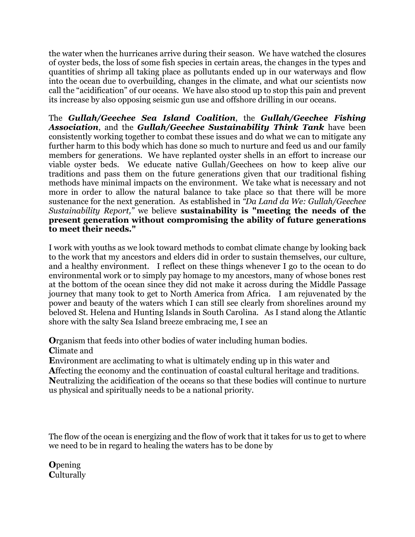the water when the hurricanes arrive during their season. We have watched the closures of oyster beds, the loss of some fish species in certain areas, the changes in the types and quantities of shrimp all taking place as pollutants ended up in our waterways and flow into the ocean due to overbuilding, changes in the climate, and what our scientists now call the "acidification" of our oceans. We have also stood up to stop this pain and prevent its increase by also opposing seismic gun use and offshore drilling in our oceans.

The *Gullah/Geechee Sea Island Coalition*, the *Gullah/Geechee Fishing Association*, and the *Gullah/Geechee Sustainability Think Tank* have been consistently working together to combat these issues and do what we can to mitigate any further harm to this body which has done so much to nurture and feed us and our family members for generations. We have replanted oyster shells in an effort to increase our viable oyster beds. We educate native Gullah/Geechees on how to keep alive our traditions and pass them on the future generations given that our traditional fishing methods have minimal impacts on the environment. We take what is necessary and not more in order to allow the natural balance to take place so that there will be more sustenance for the next generation. As established in *"Da Land da We: Gullah/Geechee Sustainability Report,"* we believe **sustainability is "meeting the needs of the present generation without compromising the ability of future generations to meet their needs."**

I work with youths as we look toward methods to combat climate change by looking back to the work that my ancestors and elders did in order to sustain themselves, our culture, and a healthy environment. I reflect on these things whenever I go to the ocean to do environmental work or to simply pay homage to my ancestors, many of whose bones rest at the bottom of the ocean since they did not make it across during the Middle Passage journey that many took to get to North America from Africa. I am rejuvenated by the power and beauty of the waters which I can still see clearly from shorelines around my beloved St. Helena and Hunting Islands in South Carolina. As I stand along the Atlantic shore with the salty Sea Island breeze embracing me, I see an

**O**rganism that feeds into other bodies of water including human bodies.

**C**limate and

**E**nvironment are acclimating to what is ultimately ending up in this water and

**A**ffecting the economy and the continuation of coastal cultural heritage and traditions. **N**eutralizing the acidification of the oceans so that these bodies will continue to nurture us physical and spiritually needs to be a national priority.

The flow of the ocean is energizing and the flow of work that it takes for us to get to where we need to be in regard to healing the waters has to be done by

**O**pening **C**ulturally